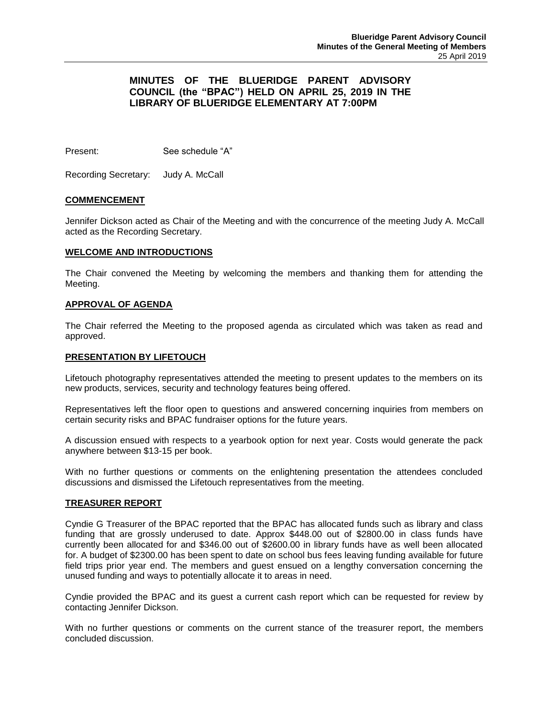# **MINUTES OF THE BLUERIDGE PARENT ADVISORY COUNCIL (the "BPAC") HELD ON APRIL 25, 2019 IN THE LIBRARY OF BLUERIDGE ELEMENTARY AT 7:00PM**

Present: See schedule "A"

Recording Secretary: Judy A. McCall

# **COMMENCEMENT**

Jennifer Dickson acted as Chair of the Meeting and with the concurrence of the meeting Judy A. McCall acted as the Recording Secretary.

#### **WELCOME AND INTRODUCTIONS**

The Chair convened the Meeting by welcoming the members and thanking them for attending the Meeting.

#### **APPROVAL OF AGENDA**

The Chair referred the Meeting to the proposed agenda as circulated which was taken as read and approved.

#### **PRESENTATION BY LIFETOUCH**

Lifetouch photography representatives attended the meeting to present updates to the members on its new products, services, security and technology features being offered.

Representatives left the floor open to questions and answered concerning inquiries from members on certain security risks and BPAC fundraiser options for the future years.

A discussion ensued with respects to a yearbook option for next year. Costs would generate the pack anywhere between \$13-15 per book.

With no further questions or comments on the enlightening presentation the attendees concluded discussions and dismissed the Lifetouch representatives from the meeting.

# **TREASURER REPORT**

Cyndie G Treasurer of the BPAC reported that the BPAC has allocated funds such as library and class funding that are grossly underused to date. Approx \$448.00 out of \$2800.00 in class funds have currently been allocated for and \$346.00 out of \$2600.00 in library funds have as well been allocated for. A budget of \$2300.00 has been spent to date on school bus fees leaving funding available for future field trips prior year end. The members and guest ensued on a lengthy conversation concerning the unused funding and ways to potentially allocate it to areas in need.

Cyndie provided the BPAC and its guest a current cash report which can be requested for review by contacting Jennifer Dickson.

With no further questions or comments on the current stance of the treasurer report, the members concluded discussion.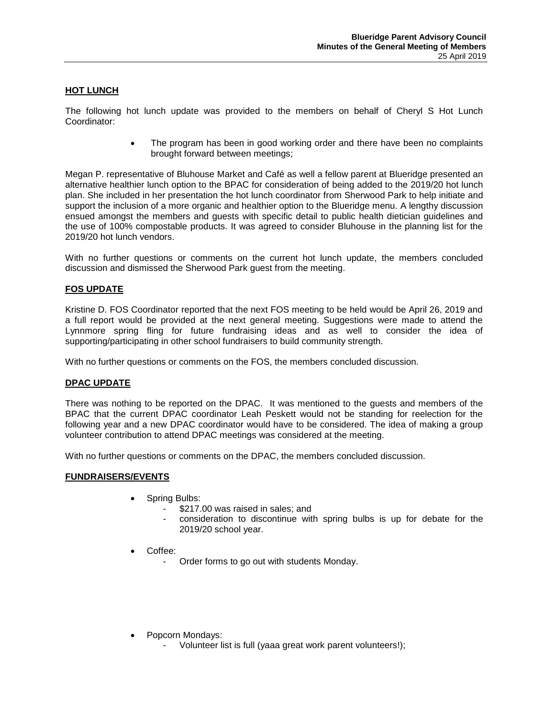# **HOT LUNCH**

The following hot lunch update was provided to the members on behalf of Cheryl S Hot Lunch Coordinator:

> The program has been in good working order and there have been no complaints brought forward between meetings;

Megan P. representative of Bluhouse Market and Café as well a fellow parent at Blueridge presented an alternative healthier lunch option to the BPAC for consideration of being added to the 2019/20 hot lunch plan. She included in her presentation the hot lunch coordinator from Sherwood Park to help initiate and support the inclusion of a more organic and healthier option to the Blueridge menu. A lengthy discussion ensued amongst the members and guests with specific detail to public health dietician guidelines and the use of 100% compostable products. It was agreed to consider Bluhouse in the planning list for the 2019/20 hot lunch vendors.

With no further questions or comments on the current hot lunch update, the members concluded discussion and dismissed the Sherwood Park guest from the meeting.

# **FOS UPDATE**

Kristine D. FOS Coordinator reported that the next FOS meeting to be held would be April 26, 2019 and a full report would be provided at the next general meeting. Suggestions were made to attend the Lynnmore spring fling for future fundraising ideas and as well to consider the idea of supporting/participating in other school fundraisers to build community strength.

With no further questions or comments on the FOS, the members concluded discussion.

# **DPAC UPDATE**

There was nothing to be reported on the DPAC. It was mentioned to the guests and members of the BPAC that the current DPAC coordinator Leah Peskett would not be standing for reelection for the following year and a new DPAC coordinator would have to be considered. The idea of making a group volunteer contribution to attend DPAC meetings was considered at the meeting.

With no further questions or comments on the DPAC, the members concluded discussion.

# **FUNDRAISERS/EVENTS**

- Spring Bulbs:
	- \$217.00 was raised in sales; and
	- consideration to discontinue with spring bulbs is up for debate for the 2019/20 school year.
- Coffee:
	- Order forms to go out with students Monday.
- Popcorn Mondays:
	- Volunteer list is full (yaaa great work parent volunteers!);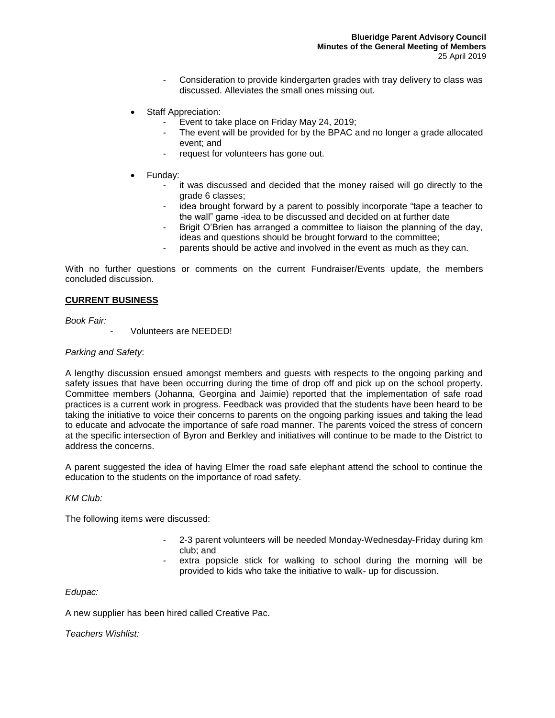- Consideration to provide kindergarten grades with tray delivery to class was discussed. Alleviates the small ones missing out.
- Staff Appreciation:
	- Event to take place on Friday May 24, 2019;
	- The event will be provided for by the BPAC and no longer a grade allocated event; and
	- request for volunteers has gone out.
- Funday:
	- it was discussed and decided that the money raised will go directly to the grade 6 classes;
	- idea brought forward by a parent to possibly incorporate "tape a teacher to the wall" game -idea to be discussed and decided on at further date
	- Brigit O'Brien has arranged a committee to liaison the planning of the day, ideas and questions should be brought forward to the committee;
	- parents should be active and involved in the event as much as they can.

With no further questions or comments on the current Fundraiser/Events update, the members concluded discussion.

# **CURRENT BUSINESS**

*Book Fair:*

Volunteers are NEEDED!

# *Parking and Safety*:

A lengthy discussion ensued amongst members and guests with respects to the ongoing parking and safety issues that have been occurring during the time of drop off and pick up on the school property. Committee members (Johanna, Georgina and Jaimie) reported that the implementation of safe road practices is a current work in progress. Feedback was provided that the students have been heard to be taking the initiative to voice their concerns to parents on the ongoing parking issues and taking the lead to educate and advocate the importance of safe road manner. The parents voiced the stress of concern at the specific intersection of Byron and Berkley and initiatives will continue to be made to the District to address the concerns.

A parent suggested the idea of having Elmer the road safe elephant attend the school to continue the education to the students on the importance of road safety.

#### *KM Club:*

The following items were discussed:

- 2-3 parent volunteers will be needed Monday-Wednesday-Friday during km club; and
- extra popsicle stick for walking to school during the morning will be provided to kids who take the initiative to walk- up for discussion.

# *Edupac:*

A new supplier has been hired called Creative Pac.

*Teachers Wishlist:*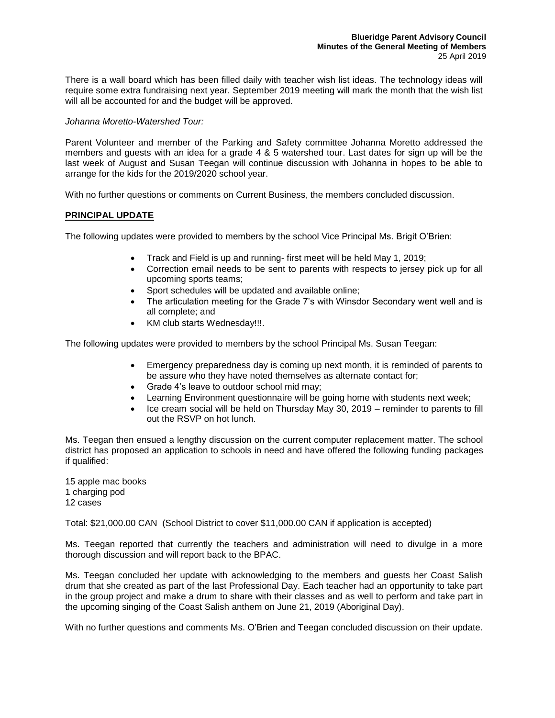There is a wall board which has been filled daily with teacher wish list ideas. The technology ideas will require some extra fundraising next year. September 2019 meeting will mark the month that the wish list will all be accounted for and the budget will be approved.

# *Johanna Moretto-Watershed Tour:*

Parent Volunteer and member of the Parking and Safety committee Johanna Moretto addressed the members and guests with an idea for a grade 4 & 5 watershed tour. Last dates for sign up will be the last week of August and Susan Teegan will continue discussion with Johanna in hopes to be able to arrange for the kids for the 2019/2020 school year.

With no further questions or comments on Current Business, the members concluded discussion.

# **PRINCIPAL UPDATE**

The following updates were provided to members by the school Vice Principal Ms. Brigit O'Brien:

- Track and Field is up and running- first meet will be held May 1, 2019;
- Correction email needs to be sent to parents with respects to jersey pick up for all upcoming sports teams;
- Sport schedules will be updated and available online;
- The articulation meeting for the Grade 7's with Winsdor Secondary went well and is all complete; and
- KM club starts Wednesday!!!.

The following updates were provided to members by the school Principal Ms. Susan Teegan:

- Emergency preparedness day is coming up next month, it is reminded of parents to be assure who they have noted themselves as alternate contact for;
- Grade 4's leave to outdoor school mid may;
- Learning Environment questionnaire will be going home with students next week;
- Ice cream social will be held on Thursday May 30, 2019 reminder to parents to fill out the RSVP on hot lunch.

Ms. Teegan then ensued a lengthy discussion on the current computer replacement matter. The school district has proposed an application to schools in need and have offered the following funding packages if qualified:

15 apple mac books 1 charging pod 12 cases

Total: \$21,000.00 CAN (School District to cover \$11,000.00 CAN if application is accepted)

Ms. Teegan reported that currently the teachers and administration will need to divulge in a more thorough discussion and will report back to the BPAC.

Ms. Teegan concluded her update with acknowledging to the members and guests her Coast Salish drum that she created as part of the last Professional Day. Each teacher had an opportunity to take part in the group project and make a drum to share with their classes and as well to perform and take part in the upcoming singing of the Coast Salish anthem on June 21, 2019 (Aboriginal Day).

With no further questions and comments Ms. O'Brien and Teegan concluded discussion on their update.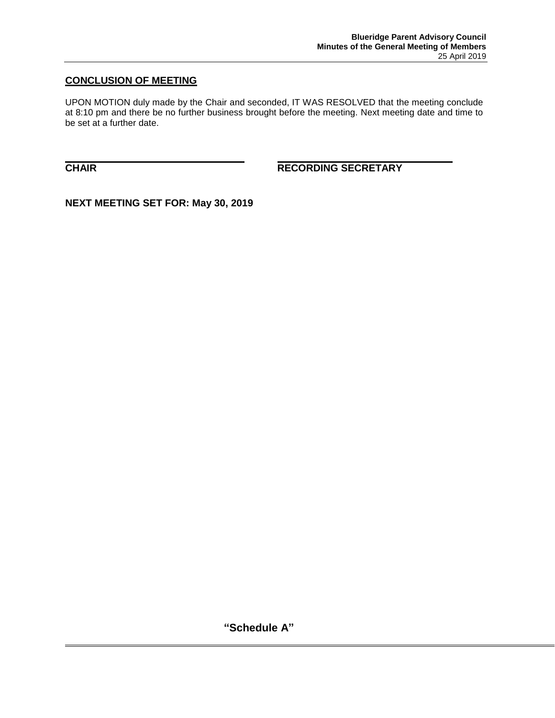# **CONCLUSION OF MEETING**

UPON MOTION duly made by the Chair and seconded, IT WAS RESOLVED that the meeting conclude at 8:10 pm and there be no further business brought before the meeting. Next meeting date and time to be set at a further date.

**CHAIR RECORDING SECRETARY**

**NEXT MEETING SET FOR: May 30, 2019**

**"Schedule A"**